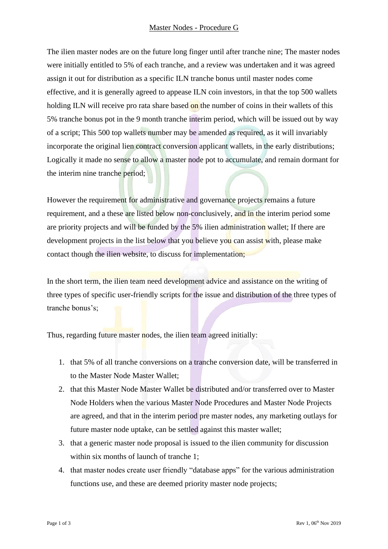## Master Nodes - Procedure G

The ilien master nodes are on the future long finger until after tranche nine; The master nodes were initially entitled to 5% of each tranche, and a review was undertaken and it was agreed assign it out for distribution as a specific ILN tranche bonus until master nodes come effective, and it is generally agreed to appease ILN coin investors, in that the top 500 wallets holding ILN will receive pro rata share based on the number of coins in their wallets of this 5% tranche bonus pot in the 9 month tranche interim period, which will be issued out by way of a script; This 500 top wallets number may be amended as required, as it will invariably incorporate the original lien contract conversion applicant wallets, in the early distributions; Logically it made no sense to allow a master node pot to accumulate, and remain dormant for the interim nine tranche period;

However the requirement for administrative and governance projects remains a future requirement, and a these are listed below non-conclusively, and in the interim period some are priority projects and will be funded by the 5% ilien administration wallet; If there are development projects in the list below that you believe you can assist with, please make contact though the ilien website, to discuss for implementation;

In the short term, the ilien team need development advice and assistance on the writing of three types of specific user-friendly scripts for the issue and distribution of the three types of tranche bonus's;

Thus, regarding future master nodes, the ilien team agreed initially:

- 1. that 5% of all tranche conversions on a tranche conversion date, will be transferred in to the Master Node Master Wallet;
- 2. that this Master Node Master Wallet be distributed and/or transferred over to Master Node Holders when the various Master Node Procedures and Master Node Projects are agreed, and that in the interim period pre master nodes, any marketing outlays for future master node uptake, can be settled against this master wallet;
- 3. that a generic master node proposal is issued to the ilien community for discussion within six months of launch of tranche 1:
- 4. that master nodes create user friendly "database apps" for the various administration functions use, and these are deemed priority master node projects;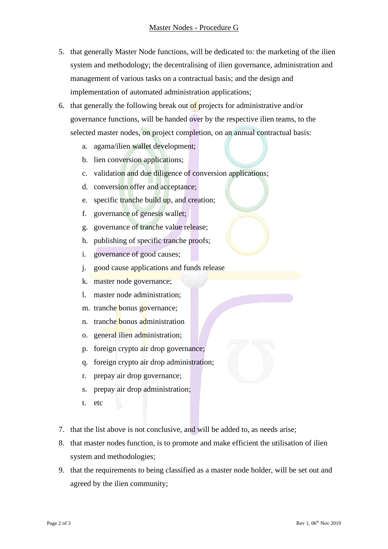- 5. that generally Master Node functions, will be dedicated to: the marketing of the ilien system and methodology; the decentralising of ilien governance, administration and management of various tasks on a contractual basis; and the design and implementation of automated administration applications;
- 6. that generally the following break out of projects for administrative and/or governance functions, will be handed over by the respective ilien teams, to the selected master nodes, on project completion, on an annual contractual basis:
	- a. agama/ilien wallet development;
	- b. lien conversion applications;
	- c. validation and due diligence of conversion applications;
	- d. conversion offer and acceptance;
	- e. specific tranche build up, and creation;
	- f. governance of genesis wallet;
	- g. governance of tranche value release;
	- h. publishing of specific tranche proofs;
	- i. governance of good causes;
	- j. good cause applications and funds release
	- k. master node governance;
	- l. master node administration;
	- m. tranche bonus governance;
	- n. tranche bonus administration
	- o. general ilien administration;
	- p. foreign crypto air drop governance;
	- q. foreign crypto air drop administration;
	- r. prepay air drop governance;
	- s. prepay air drop administration;
	- t. etc
- 7. that the list above is not conclusive, and will be added to, as needs arise;
- 8. that master nodes function, is to promote and make efficient the utilisation of ilien system and methodologies;
- 9. that the requirements to being classified as a master node holder, will be set out and agreed by the ilien community;